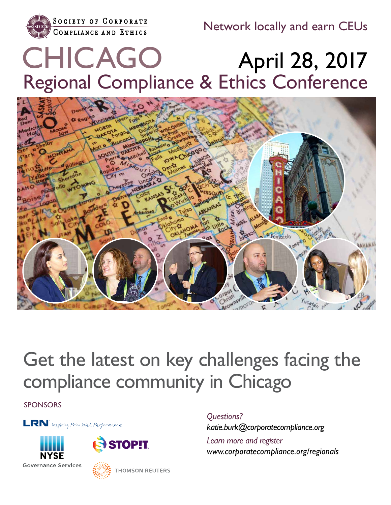

Network locally and earn CEUs

# April 28, 2017 Regional Compliance & Ethics Conference CHICAGO



# Get the latest on key challenges facing the compliance community in Chicago

SPONSORS

**LRN** Inspiring Principled Performance





**THOMSON REUTERS** 

*Questions? katie.burk@corporatecompliance.org*

*Learn more and register www.corporatecompliance.org/regionals*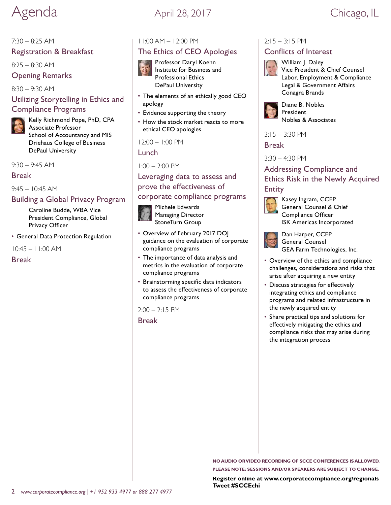#### 7:30 – 8:25 AM

#### Registration & Breakfast

8:25 – 8:30 AM

#### Opening Remarks

8:30 – 9:30 AM

# Utilizing Storytelling in Ethics and Compliance Programs

Kelly Richmond Pope, PhD, CPA Associate Professor School of Accountancy and MIS Driehaus College of Business DePaul University

9:30 – 9:45 AM

#### Break

 $9.45 - 10.45$  AM

#### Building a Global Privacy Program

Caroline Budde, WBA Vice President Compliance, Global Privacy Officer

• General Data Protection Regulation

10:45 – 11:00 AM

Break

## 11:00 AM – 12:00 PM

## The Ethics of CEO Apologies



Professor Daryl Koehn

Institute for Business and Professional Ethics DePaul University

- The elements of an ethically good CEO apology
- Evidence supporting the theory
- How the stock market reacts to more ethical CEO apologies

12:00 – 1:00 PM

Lunch

1:00 – 2:00 PM

Leveraging data to assess and prove the effectiveness of

#### corporate compliance programs



Michele Edwards Managing Director StoneTurn Group

- Overview of February 2017 DOJ guidance on the evaluation of corporate compliance programs
- The importance of data analysis and metrics in the evaluation of corporate compliance programs
- Brainstorming specific data indicators to assess the effectiveness of corporate compliance programs

 $2:00 - 2:15$  PM

Break

#### $2:15 - 3:15$  PM

#### Conflicts of Interest



William J. Daley Vice President & Chief Counsel Labor, Employment & Compliance Legal & Government Affairs Conagra Brands



Diane B. Nobles President Nobles & Associates

3:15 – 3:30 PM

Break

3:30 – 4:30 PM

# Addressing Compliance and Ethics Risk in the Newly Acquired **Entity**



Kasey Ingram, CCEP General Counsel & Chief Compliance Officer ISK Americas Incorporated



Dan Harper, CCEP General Counsel GEA Farm Technologies, Inc.

- Overview of the ethics and compliance challenges, considerations and risks that arise after acquiring a new entity
- Discuss strategies for effectively integrating ethics and compliance programs and related infrastructure in the newly acquired entity
- Share practical tips and solutions for effectively mitigating the ethics and compliance risks that may arise during the integration process

**NO AUDIO OR VIDEO RECORDING OF SCCE CONFERENCES IS ALLOWED. PLEASE NOTE: SESSIONS AND/OR SPEAKERS ARE SUBJECT TO CHANGE.**

**Register online at [www.corporatecompliance.org/](http://www.corporatecompliance.org)regionals Tweet #SCCEchi**